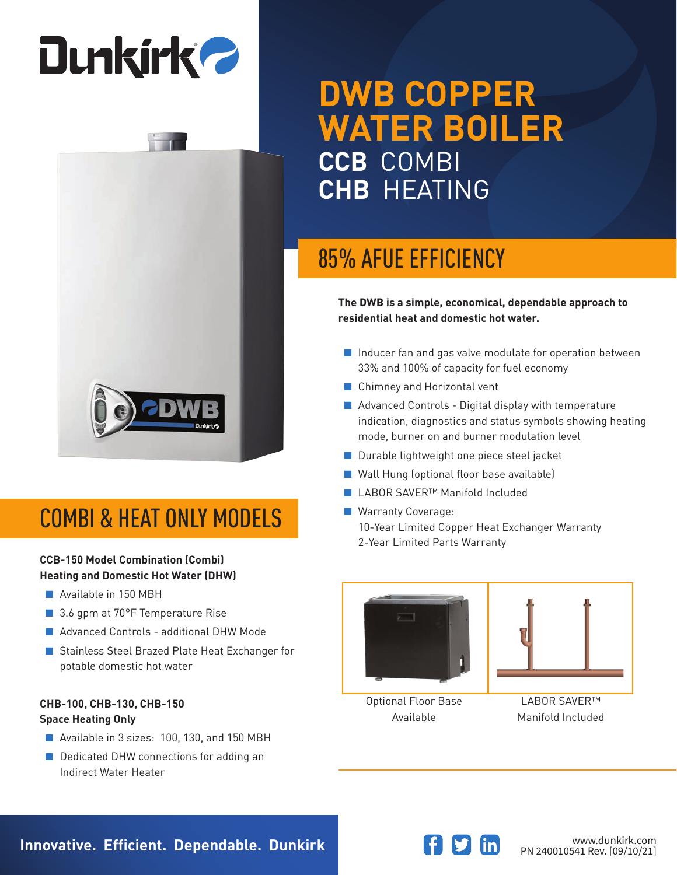# **Dunkirk 2**



### COMBI & HEAT ONLY MODELS

#### **CCB-150 Model Combination (Combi) Heating and Domestic Hot Water (DHW)**

- Available in 150 MBH
- 3.6 gpm at 70°F Temperature Rise
- Advanced Controls additional DHW Mode
- Stainless Steel Brazed Plate Heat Exchanger for potable domestic hot water

#### **CHB-100, CHB-130, CHB-150 Space Heating Only**

- Available in 3 sizes: 100, 130, and 150 MBH
- Dedicated DHW connections for adding an Indirect Water Heater

## **DWB COPPER WATER BOILER CCB** COMBI **CHB** HEATING

### 85% AFUE EFFICIENCY

**The DWB is a simple, economical, dependable approach to residential heat and domestic hot water.**

- Inducer fan and gas valve modulate for operation between 33% and 100% of capacity for fuel economy
- Chimney and Horizontal vent
- Advanced Controls Digital display with temperature indication, diagnostics and status symbols showing heating mode, burner on and burner modulation level
- Durable lightweight one piece steel jacket
- Wall Hung (optional floor base available)
- LABOR SAVER<sup>™</sup> Manifold Included
- Warranty Coverage: 10-Year Limited Copper Heat Exchanger Warranty 2-Year Limited Parts Warranty





Optional Floor Base Available

LABOR SAVER™ Manifold Included



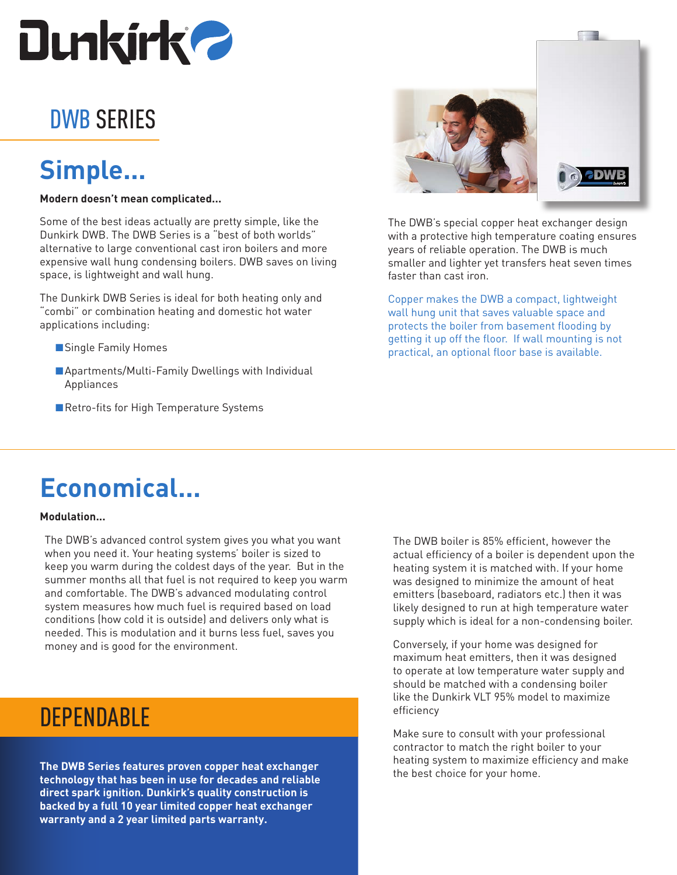

### DWB SERIES

### **Simple...**

#### **Modern doesn't mean complicated...**

Some of the best ideas actually are pretty simple, like the Dunkirk DWB. The DWB Series is a "best of both worlds" alternative to large conventional cast iron boilers and more expensive wall hung condensing boilers. DWB saves on living space, is lightweight and wall hung.

The Dunkirk DWB Series is ideal for both heating only and "combi" or combination heating and domestic hot water applications including:

- Single Family Homes
- Apartments/Multi-Family Dwellings with Individual Appliances
- ■Retro-fits for High Temperature Systems





The DWB's special copper heat exchanger design with a protective high temperature coating ensures years of reliable operation. The DWB is much smaller and lighter yet transfers heat seven times faster than cast iron.

Copper makes the DWB a compact, lightweight wall hung unit that saves valuable space and protects the boiler from basement flooding by getting it up off the floor. If wall mounting is not practical, an optional floor base is available.

### **Economical...**

#### **Modulation...**

The DWB's advanced control system gives you what you want when you need it. Your heating systems' boiler is sized to keep you warm during the coldest days of the year. But in the summer months all that fuel is not required to keep you warm and comfortable. The DWB's advanced modulating control system measures how much fuel is required based on load conditions (how cold it is outside) and delivers only what is needed. This is modulation and it burns less fuel, saves you money and is good for the environment.

### **DEPENDABLE**

**The DWB Series features proven copper heat exchanger technology that has been in use for decades and reliable direct spark ignition. Dunkirk's quality construction is backed by a full 10 year limited copper heat exchanger warranty and a 2 year limited parts warranty.**

The DWB boiler is 85% efficient, however the actual efficiency of a boiler is dependent upon the heating system it is matched with. If your home was designed to minimize the amount of heat emitters (baseboard, radiators etc.) then it was likely designed to run at high temperature water supply which is ideal for a non-condensing boiler.

Conversely, if your home was designed for maximum heat emitters, then it was designed to operate at low temperature water supply and should be matched with a condensing boiler like the Dunkirk VLT 95% model to maximize efficiency

Make sure to consult with your professional contractor to match the right boiler to your heating system to maximize efficiency and make the best choice for your home.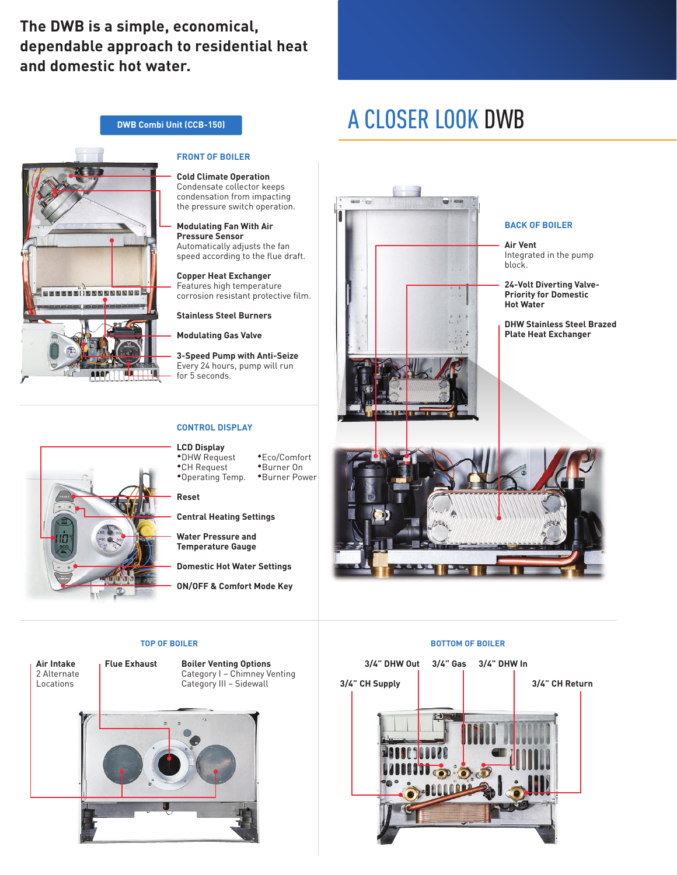### **The DWB is a simple, economical, dependable approach to residential heat and domestic hot water.**

**DWB Combi Unit (CCB-150)**

### A CLOSER LOOK DWB



#### **FRONT OF BOILER**

**Cold Climate Operation** Condensate collector keeps condensation from impacting the pressure switch operation.

**Modulating Fan With Air Pressure Sensor** Automatically adjusts the fan speed according to the flue draft.

**Copper Heat Exchanger** Features high temperature corrosion resistant protective film.

**Stainless Steel Burners**

**Modulating Gas Valve**

**3-Speed Pump with Anti-Seize** Every 24 hours, pump will run for 5 seconds.

#### **CONTROL DISPLAY**

**LCD Display** •DHW Request •CH Request

•Operating Temp. •Eco/Comfort •Burner On •Burner Power

**Reset**

**Central Heating Settings**

**Water Pressure and Temperature Gauge**

**Domestic Hot Water Settings**

**ON/OFF & Comfort Mode Key**

**Air Intake** 2 Alternate Locations

**Flue Exhaust Boiler Venting Options**

Category I – Chimney Venting Category III – Sidewall





#### **BACK OF BOILER**

**Air Vent** Integrated in the pump block.

**24-Volt Diverting Valve-Priority for Domestic Hot Water**

**DHW Stainless Steel Brazed Plate Heat Exchanger**



#### **TOP OF BOILER BOTTOM OF BOILER**